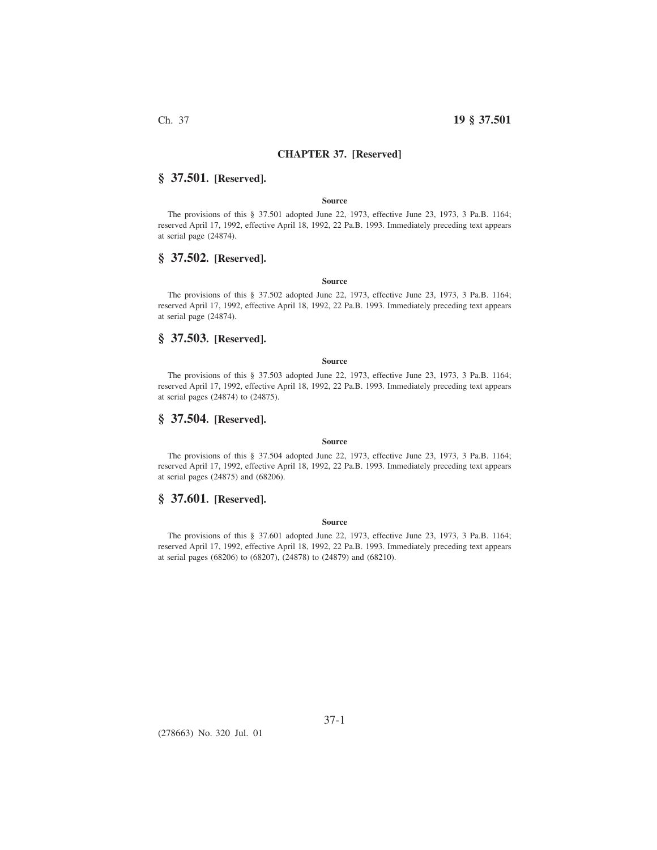## **CHAPTER 37. [Reserved]**

# **§ 37.501. [Reserved].**

### **Source**

The provisions of this § 37.501 adopted June 22, 1973, effective June 23, 1973, 3 Pa.B. 1164; reserved April 17, 1992, effective April 18, 1992, 22 Pa.B. 1993. Immediately preceding text appears at serial page (24874).

## **§ 37.502. [Reserved].**

### **Source**

The provisions of this § 37.502 adopted June 22, 1973, effective June 23, 1973, 3 Pa.B. 1164; reserved April 17, 1992, effective April 18, 1992, 22 Pa.B. 1993. Immediately preceding text appears at serial page (24874).

# **§ 37.503. [Reserved].**

#### **Source**

The provisions of this § 37.503 adopted June 22, 1973, effective June 23, 1973, 3 Pa.B. 1164; reserved April 17, 1992, effective April 18, 1992, 22 Pa.B. 1993. Immediately preceding text appears at serial pages (24874) to (24875).

## **§ 37.504. [Reserved].**

### **Source**

The provisions of this § 37.504 adopted June 22, 1973, effective June 23, 1973, 3 Pa.B. 1164; reserved April 17, 1992, effective April 18, 1992, 22 Pa.B. 1993. Immediately preceding text appears at serial pages (24875) and (68206).

## **§ 37.601. [Reserved].**

### **Source**

The provisions of this § 37.601 adopted June 22, 1973, effective June 23, 1973, 3 Pa.B. 1164; reserved April 17, 1992, effective April 18, 1992, 22 Pa.B. 1993. Immediately preceding text appears at serial pages (68206) to (68207), (24878) to (24879) and (68210).

(278663) No. 320 Jul. 01